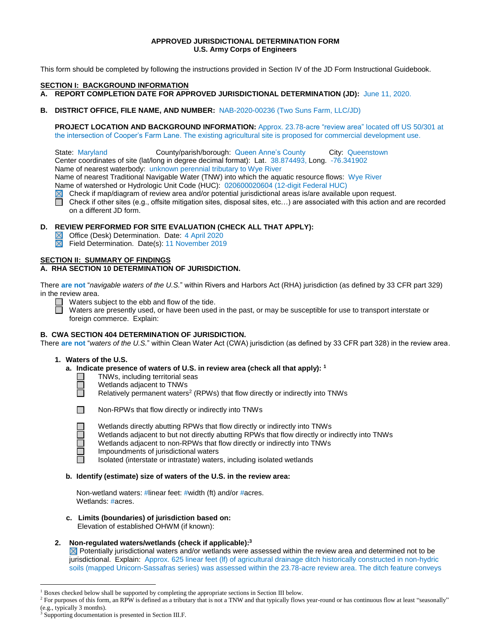# **APPROVED JURISDICTIONAL DETERMINATION FORM U.S. Army Corps of Engineers**

This form should be completed by following the instructions provided in Section IV of the JD Form Instructional Guidebook.

#### **SECTION I: BACKGROUND INFORMATION**

**A. REPORT COMPLETION DATE FOR APPROVED JURISDICTIONAL DETERMINATION (JD):** June 11, 2020.

# **B. DISTRICT OFFICE, FILE NAME, AND NUMBER:** NAB-2020-00236 (Two Suns Farm, LLC/JD)

**PROJECT LOCATION AND BACKGROUND INFORMATION:** Approx. 23.78-acre "review area" located off US 50/301 at the intersection of Cooper's Farm Lane. The existing agricultural site is proposed for commercial development use.

State: Maryland **County/parish/borough: Queen Anne's County City: Queenstown** Center coordinates of site (lat/long in degree decimal format): Lat. 38.874493, Long. -76.341902

Name of nearest waterbody: unknown perennial tributary to Wye River

Name of nearest Traditional Navigable Water (TNW) into which the aquatic resource flows: Wye River

Name of watershed or Hydrologic Unit Code (HUC): 020600020604 (12-digit Federal HUC)

Check if map/diagram of review area and/or potential jurisdictional areas is/are available upon request.

П Check if other sites (e.g., offsite mitigation sites, disposal sites, etc…) are associated with this action and are recorded on a different JD form.

# **D. REVIEW PERFORMED FOR SITE EVALUATION (CHECK ALL THAT APPLY):**

Office (Desk) Determination. Date: 4 April 2020

 $\boxtimes$ Field Determination. Date(s): 11 November 2019

### **SECTION II: SUMMARY OF FINDINGS**

# **A. RHA SECTION 10 DETERMINATION OF JURISDICTION.**

There **are not** "*navigable waters of the U.S.*" within Rivers and Harbors Act (RHA) jurisdiction (as defined by 33 CFR part 329) in the review area.

 $\Box$  Waters subject to the ebb and flow of the tide.

Waters are presently used, or have been used in the past, or may be susceptible for use to transport interstate or foreign commerce. Explain:

#### **B. CWA SECTION 404 DETERMINATION OF JURISDICTION.**

There **are not** "*waters of the U.S.*" within Clean Water Act (CWA) jurisdiction (as defined by 33 CFR part 328) in the review area.

### **1. Waters of the U.S.**

### **a. Indicate presence of waters of U.S. in review area (check all that apply): 1**

TNWs, including territorial seas П

Wetlands adjacent to TNWs

Relatively permanent waters<sup>2</sup> (RPWs) that flow directly or indirectly into TNWs



Ħ

Ō

 $\overline{a}$ 

Wetlands directly abutting RPWs that flow directly or indirectly into TNWs

- Wetlands adjacent to but not directly abutting RPWs that flow directly or indirectly into TNWs
- Wetlands adjacent to non-RPWs that flow directly or indirectly into TNWs
- Impoundments of jurisdictional waters

Isolated (interstate or intrastate) waters, including isolated wetlands

### **b. Identify (estimate) size of waters of the U.S. in the review area:**

Non-wetland waters: #linear feet: #width (ft) and/or #acres. Wetlands: #acres.

 **c. Limits (boundaries) of jurisdiction based on:** Elevation of established OHWM (if known):

# **2. Non-regulated waters/wetlands (check if applicable): 3**

 $\boxtimes$  Potentially jurisdictional waters and/or wetlands were assessed within the review area and determined not to be jurisdictional. Explain: Approx. 625 linear feet (lf) of agricultural drainage ditch historically constructed in non-hydric soils (mapped Unicorn-Sassafras series) was assessed within the 23.78-acre review area. The ditch feature conveys

<sup>&</sup>lt;sup>1</sup> Boxes checked below shall be supported by completing the appropriate sections in Section III below.

<sup>&</sup>lt;sup>2</sup> For purposes of this form, an RPW is defined as a tributary that is not a TNW and that typically flows year-round or has continuous flow at least "seasonally" (e.g., typically 3 months).

<sup>&</sup>lt;sup>3</sup> Supporting documentation is presented in Section III.F.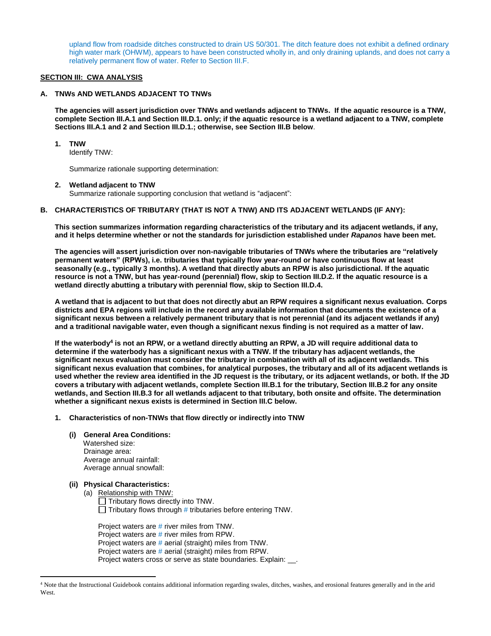upland flow from roadside ditches constructed to drain US 50/301. The ditch feature does not exhibit a defined ordinary high water mark (OHWM), appears to have been constructed wholly in, and only draining uplands, and does not carry a relatively permanent flow of water. Refer to Section III.F.

### **SECTION III: CWA ANALYSIS**

# **A. TNWs AND WETLANDS ADJACENT TO TNWs**

**The agencies will assert jurisdiction over TNWs and wetlands adjacent to TNWs. If the aquatic resource is a TNW, complete Section III.A.1 and Section III.D.1. only; if the aquatic resource is a wetland adjacent to a TNW, complete Sections III.A.1 and 2 and Section III.D.1.; otherwise, see Section III.B below**.

### **1. TNW**

Identify TNW:

Summarize rationale supporting determination:

#### **2. Wetland adjacent to TNW**

Summarize rationale supporting conclusion that wetland is "adjacent":

### **B. CHARACTERISTICS OF TRIBUTARY (THAT IS NOT A TNW) AND ITS ADJACENT WETLANDS (IF ANY):**

**This section summarizes information regarding characteristics of the tributary and its adjacent wetlands, if any, and it helps determine whether or not the standards for jurisdiction established under** *Rapanos* **have been met.** 

**The agencies will assert jurisdiction over non-navigable tributaries of TNWs where the tributaries are "relatively permanent waters" (RPWs), i.e. tributaries that typically flow year-round or have continuous flow at least seasonally (e.g., typically 3 months). A wetland that directly abuts an RPW is also jurisdictional. If the aquatic resource is not a TNW, but has year-round (perennial) flow, skip to Section III.D.2. If the aquatic resource is a wetland directly abutting a tributary with perennial flow, skip to Section III.D.4.** 

**A wetland that is adjacent to but that does not directly abut an RPW requires a significant nexus evaluation. Corps districts and EPA regions will include in the record any available information that documents the existence of a significant nexus between a relatively permanent tributary that is not perennial (and its adjacent wetlands if any) and a traditional navigable water, even though a significant nexus finding is not required as a matter of law.**

**If the waterbody<sup>4</sup> is not an RPW, or a wetland directly abutting an RPW, a JD will require additional data to determine if the waterbody has a significant nexus with a TNW. If the tributary has adjacent wetlands, the significant nexus evaluation must consider the tributary in combination with all of its adjacent wetlands. This significant nexus evaluation that combines, for analytical purposes, the tributary and all of its adjacent wetlands is used whether the review area identified in the JD request is the tributary, or its adjacent wetlands, or both. If the JD covers a tributary with adjacent wetlands, complete Section III.B.1 for the tributary, Section III.B.2 for any onsite wetlands, and Section III.B.3 for all wetlands adjacent to that tributary, both onsite and offsite. The determination whether a significant nexus exists is determined in Section III.C below.**

**1. Characteristics of non-TNWs that flow directly or indirectly into TNW**

# **(i) General Area Conditions:**

 Watershed size: Drainage area: Average annual rainfall: Average annual snowfall:

#### **(ii) Physical Characteristics:**

 $\overline{a}$ 

(a) Relationship with TNW:  $\Box$  Tributary flows directly into TNW. □ Tributary flows through # tributaries before entering TNW.

Project waters are # river miles from TNW. Project waters are # river miles from RPW. Project waters are # aerial (straight) miles from TNW. Project waters are # aerial (straight) miles from RPW. Project waters cross or serve as state boundaries. Explain: ...

<sup>4</sup> Note that the Instructional Guidebook contains additional information regarding swales, ditches, washes, and erosional features generally and in the arid West.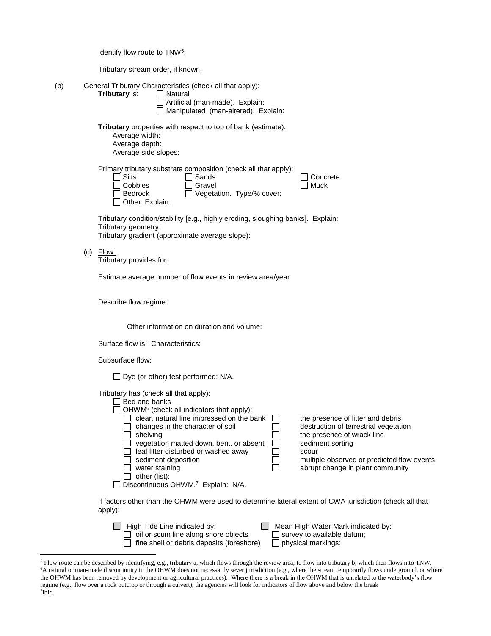Tributary stream order, if known:

(b) General Tributary Characteristics (check all that apply): **Tributary is:** 

| I Natural                              |  |
|----------------------------------------|--|
| $\Box$ Artificial (man-made). Explain: |  |
| Manipulated (man-altered). Explain:    |  |

**Tributary** properties with respect to top of bank (estimate):

Average width: Average depth:

 $(c)$ 

 $\overline{a}$ 

Average side slopes:

Primary tributary substrate composition (check all that apply):

| r mnary mpalary babbliato composition (oncent an inat apply).<br>Sands<br>Silts<br>Concrete<br>Muck<br>Cobbles<br>Gravel<br><b>Bedrock</b><br>Vegetation. Type/% cover:<br>Other. Explain: |  |  |  |  |  |  |  |
|--------------------------------------------------------------------------------------------------------------------------------------------------------------------------------------------|--|--|--|--|--|--|--|
| Tributary condition/stability [e.g., highly eroding, sloughing banks]. Explain:<br>Tributary geometry:<br>Tributary gradient (approximate average slope):                                  |  |  |  |  |  |  |  |
| Flow:<br>Tributary provides for:                                                                                                                                                           |  |  |  |  |  |  |  |
| Estimate average number of flow events in review area/year:                                                                                                                                |  |  |  |  |  |  |  |
| Describe flow regime:                                                                                                                                                                      |  |  |  |  |  |  |  |
| Other information on duration and volume:                                                                                                                                                  |  |  |  |  |  |  |  |
| Surface flow is: Characteristics:                                                                                                                                                          |  |  |  |  |  |  |  |
| Subsurface flow:                                                                                                                                                                           |  |  |  |  |  |  |  |

□ Dye (or other) test performed: N/A.

| Tributary has (check all that apply):<br>Bed and banks<br>$\Box$ OHWM <sup>6</sup> (check all indicators that apply):<br>clear, natural line impressed on the bank<br>changes in the character of soil<br>shelving<br>vegetation matted down, bent, or absent<br>leaf litter disturbed or washed away<br>sediment deposition<br>water staining | the presence of litter and debris<br>destruction of terrestrial vegetation<br>the presence of wrack line<br>sediment sorting<br>scour<br>multiple observed or predicted flow events<br>abrupt change in plant community |
|------------------------------------------------------------------------------------------------------------------------------------------------------------------------------------------------------------------------------------------------------------------------------------------------------------------------------------------------|-------------------------------------------------------------------------------------------------------------------------------------------------------------------------------------------------------------------------|
|                                                                                                                                                                                                                                                                                                                                                |                                                                                                                                                                                                                         |
| other (list):                                                                                                                                                                                                                                                                                                                                  |                                                                                                                                                                                                                         |
| Discontinuous OHWM. <sup>7</sup> Explain: N/A.                                                                                                                                                                                                                                                                                                 |                                                                                                                                                                                                                         |

If factors other than the OHWM were used to determine lateral extent of CWA jurisdiction (check all that apply):

| $\Box$ High Tide Line indicated by:              | $\Box$ Mean High Water Mark indicated by: |
|--------------------------------------------------|-------------------------------------------|
| $\Box$ oil or scum line along shore objects      | $\Box$ survey to available datum;         |
| $\Box$ fine shell or debris deposits (foreshore) | $\Box$ physical markings;                 |

<sup>5</sup> Flow route can be described by identifying, e.g., tributary a, which flows through the review area, to flow into tributary b, which then flows into TNW. <sup>6</sup>A natural or man-made discontinuity in the OHWM does not necessarily sever jurisdiction (e.g., where the stream temporarily flows underground, or where the OHWM has been removed by development or agricultural practices). Where there is a break in the OHWM that is unrelated to the waterbody's flow regime (e.g., flow over a rock outcrop or through a culvert), the agencies will look for indicators of flow above and below the break 7 Ibid.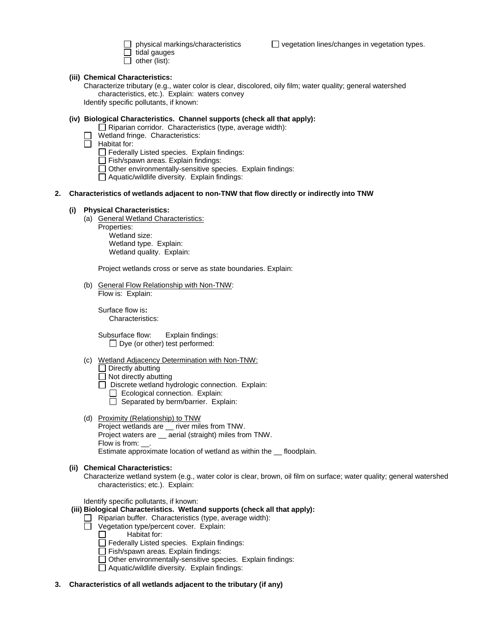tidal gauges  $\Box$  other (list):

 $\Box$  physical markings/characteristics  $\Box$  vegetation lines/changes in vegetation types.

**(iii) Chemical Characteristics:**

Characterize tributary (e.g., water color is clear, discolored, oily film; water quality; general watershed characteristics, etc.). Explain: waters convey Identify specific pollutants, if known:

# **(iv) Biological Characteristics. Channel supports (check all that apply):**

- $\Box$  Riparian corridor. Characteristics (type, average width):
- Wetland fringe. Characteristics:
- $\Box$  Habitat for:

 $\Box$  Federally Listed species. Explain findings:

- Fish/spawn areas. Explain findings:
- Other environmentally-sensitive species. Explain findings:
- Aquatic/wildlife diversity. Explain findings:

### **2. Characteristics of wetlands adjacent to non-TNW that flow directly or indirectly into TNW**

### **(i) Physical Characteristics:**

(a) General Wetland Characteristics:

Properties: Wetland size: Wetland type. Explain: Wetland quality. Explain:

Project wetlands cross or serve as state boundaries. Explain:

(b) General Flow Relationship with Non-TNW: Flow is: Explain:

Surface flow is**:**  Characteristics:

Subsurface flow:Explain findings:  $\Box$  Dye (or other) test performed:

- (c) Wetland Adjacency Determination with Non-TNW:
	- $\Box$  Directly abutting
	- $\Box$  Not directly abutting
	- Discrete wetland hydrologic connection. Explain:
		- Ecological connection. Explain:
		- $\Box$  Separated by berm/barrier. Explain:
- (d) Proximity (Relationship) to TNW
	- Project wetlands are \_\_ river miles from TNW. Project waters are \_\_ aerial (straight) miles from TNW. Flow is from: . Estimate approximate location of wetland as within the \_\_ floodplain.

# **(ii) Chemical Characteristics:**

Characterize wetland system (e.g., water color is clear, brown, oil film on surface; water quality; general watershed characteristics; etc.). Explain:

Identify specific pollutants, if known:

### **(iii) Biological Characteristics. Wetland supports (check all that apply):**

- $\Box$  Riparian buffer. Characteristics (type, average width):
- Vegetation type/percent cover. Explain:
	- Habitat for:  $\Box$
	- Federally Listed species. Explain findings:
	- Fish/spawn areas. Explain findings:
	- $\Box$  Other environmentally-sensitive species. Explain findings:
	- Aquatic/wildlife diversity. Explain findings:
- **3. Characteristics of all wetlands adjacent to the tributary (if any)**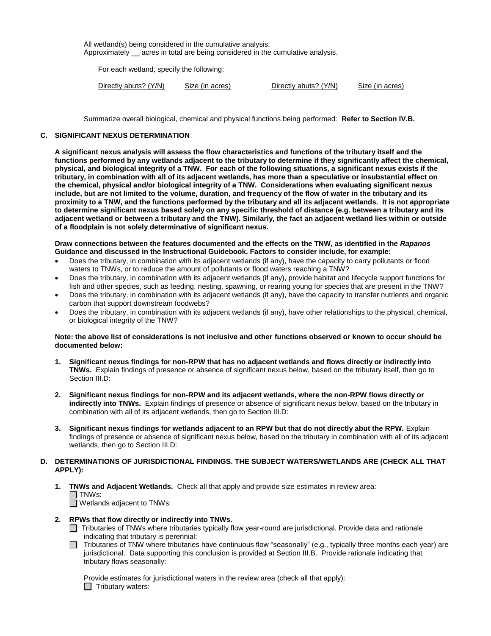All wetland(s) being considered in the cumulative analysis: Approximately \_\_ acres in total are being considered in the cumulative analysis.

For each wetland, specify the following:

| Directly abuts? (Y/N) | Size (in acres) | Directly abuts? (Y/N) | Size (in acres) |
|-----------------------|-----------------|-----------------------|-----------------|
|-----------------------|-----------------|-----------------------|-----------------|

Summarize overall biological, chemical and physical functions being performed: **Refer to Section IV.B.**

### **C. SIGNIFICANT NEXUS DETERMINATION**

**A significant nexus analysis will assess the flow characteristics and functions of the tributary itself and the functions performed by any wetlands adjacent to the tributary to determine if they significantly affect the chemical, physical, and biological integrity of a TNW. For each of the following situations, a significant nexus exists if the tributary, in combination with all of its adjacent wetlands, has more than a speculative or insubstantial effect on the chemical, physical and/or biological integrity of a TNW. Considerations when evaluating significant nexus include, but are not limited to the volume, duration, and frequency of the flow of water in the tributary and its proximity to a TNW, and the functions performed by the tributary and all its adjacent wetlands. It is not appropriate to determine significant nexus based solely on any specific threshold of distance (e.g. between a tributary and its adjacent wetland or between a tributary and the TNW). Similarly, the fact an adjacent wetland lies within or outside of a floodplain is not solely determinative of significant nexus.** 

#### **Draw connections between the features documented and the effects on the TNW, as identified in the** *Rapanos* **Guidance and discussed in the Instructional Guidebook. Factors to consider include, for example:**

- Does the tributary, in combination with its adjacent wetlands (if any), have the capacity to carry pollutants or flood waters to TNWs, or to reduce the amount of pollutants or flood waters reaching a TNW?
- Does the tributary, in combination with its adjacent wetlands (if any), provide habitat and lifecycle support functions for fish and other species, such as feeding, nesting, spawning, or rearing young for species that are present in the TNW?
- Does the tributary, in combination with its adjacent wetlands (if any), have the capacity to transfer nutrients and organic carbon that support downstream foodwebs?
- Does the tributary, in combination with its adjacent wetlands (if any), have other relationships to the physical, chemical, or biological integrity of the TNW?

### **Note: the above list of considerations is not inclusive and other functions observed or known to occur should be documented below:**

- **1. Significant nexus findings for non-RPW that has no adjacent wetlands and flows directly or indirectly into TNWs.** Explain findings of presence or absence of significant nexus below, based on the tributary itself, then go to Section III.D:
- **2. Significant nexus findings for non-RPW and its adjacent wetlands, where the non-RPW flows directly or indirectly into TNWs.** Explain findings of presence or absence of significant nexus below, based on the tributary in combination with all of its adjacent wetlands, then go to Section III.D:
- **3. Significant nexus findings for wetlands adjacent to an RPW but that do not directly abut the RPW.** Explain findings of presence or absence of significant nexus below, based on the tributary in combination with all of its adjacent wetlands, then go to Section III.D:

# **D. DETERMINATIONS OF JURISDICTIONAL FINDINGS. THE SUBJECT WATERS/WETLANDS ARE (CHECK ALL THAT APPLY):**

- **1. TNWs and Adjacent Wetlands.** Check all that apply and provide size estimates in review area:  $\Box$  TNWs:
	- Wetlands adjacent to TNWs:
- **2. RPWs that flow directly or indirectly into TNWs.**
	- □ Tributaries of TNWs where tributaries typically flow year-round are jurisdictional. Provide data and rationale indicating that tributary is perennial:
	- $\Box$  Tributaries of TNW where tributaries have continuous flow "seasonally" (e.g., typically three months each year) are jurisdictional. Data supporting this conclusion is provided at Section III.B. Provide rationale indicating that tributary flows seasonally:

Provide estimates for jurisdictional waters in the review area (check all that apply):  $\Box$  Tributary waters: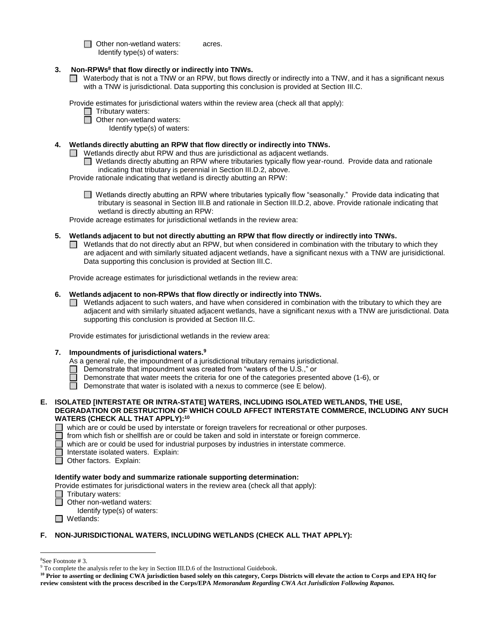□ Other non-wetland waters: acres. Identify type(s) of waters:

- **3. Non-RPWs<sup>8</sup> that flow directly or indirectly into TNWs.**
	- Waterbody that is not a TNW or an RPW, but flows directly or indirectly into a TNW, and it has a significant nexus with a TNW is jurisdictional. Data supporting this conclusion is provided at Section III.C.

Provide estimates for jurisdictional waters within the review area (check all that apply):

- □ Tributary waters:
- **D** Other non-wetland waters:

Identify type(s) of waters:

# **4. Wetlands directly abutting an RPW that flow directly or indirectly into TNWs.**

- Wetlands directly abut RPW and thus are jurisdictional as adjacent wetlands.  $\Box$ 
	- □ Wetlands directly abutting an RPW where tributaries typically flow year-round. Provide data and rationale indicating that tributary is perennial in Section III.D.2, above.

Provide rationale indicating that wetland is directly abutting an RPW:

■ Wetlands directly abutting an RPW where tributaries typically flow "seasonally." Provide data indicating that tributary is seasonal in Section III.B and rationale in Section III.D.2, above. Provide rationale indicating that wetland is directly abutting an RPW:

Provide acreage estimates for jurisdictional wetlands in the review area:

- **5. Wetlands adjacent to but not directly abutting an RPW that flow directly or indirectly into TNWs.**
	- $\Box$  Wetlands that do not directly abut an RPW, but when considered in combination with the tributary to which they are adjacent and with similarly situated adjacent wetlands, have a significant nexus with a TNW are jurisidictional. Data supporting this conclusion is provided at Section III.C.

Provide acreage estimates for jurisdictional wetlands in the review area:

# **6. Wetlands adjacent to non-RPWs that flow directly or indirectly into TNWs.**

 $\Box$  Wetlands adjacent to such waters, and have when considered in combination with the tributary to which they are adjacent and with similarly situated adjacent wetlands, have a significant nexus with a TNW are jurisdictional. Data supporting this conclusion is provided at Section III.C.

Provide estimates for jurisdictional wetlands in the review area:

# **7. Impoundments of jurisdictional waters.<sup>9</sup>**

As a general rule, the impoundment of a jurisdictional tributary remains jurisdictional.

- Demonstrate that impoundment was created from "waters of the U.S.," or
- Demonstrate that water meets the criteria for one of the categories presented above (1-6), or
- $\Box$  Demonstrate that water is isolated with a nexus to commerce (see E below).
- **E. ISOLATED [INTERSTATE OR INTRA-STATE] WATERS, INCLUDING ISOLATED WETLANDS, THE USE, DEGRADATION OR DESTRUCTION OF WHICH COULD AFFECT INTERSTATE COMMERCE, INCLUDING ANY SUCH WATERS (CHECK ALL THAT APPLY):<sup>10</sup>**

 $\Box$  which are or could be used by interstate or foreign travelers for recreational or other purposes.

- 戸 from which fish or shellfish are or could be taken and sold in interstate or foreign commerce.
- П which are or could be used for industrial purposes by industries in interstate commerce.
- Interstate isolated waters.Explain:
- Other factors. Explain:

# **Identify water body and summarize rationale supporting determination:**

Provide estimates for jurisdictional waters in the review area (check all that apply):

- □ Tributary waters:
- □ Other non-wetland waters:
	- Identify type(s) of waters:
- Wetlands:

# **F. NON-JURISDICTIONAL WATERS, INCLUDING WETLANDS (CHECK ALL THAT APPLY):**

 $\overline{a}$ 

<sup>8</sup>See Footnote # 3.

<sup>9</sup> To complete the analysis refer to the key in Section III.D.6 of the Instructional Guidebook.

**<sup>10</sup> Prior to asserting or declining CWA jurisdiction based solely on this category, Corps Districts will elevate the action to Corps and EPA HQ for review consistent with the process described in the Corps/EPA** *Memorandum Regarding CWA Act Jurisdiction Following Rapanos.*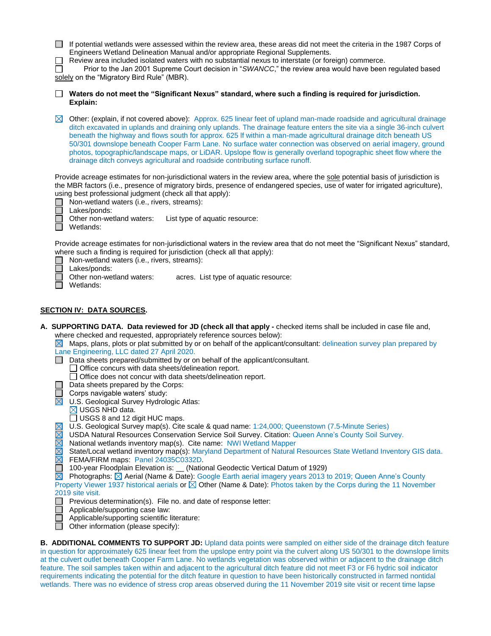| If potential wetlands were assessed within the review area, these areas did not meet the criteria in the 1987 Corps of |
|------------------------------------------------------------------------------------------------------------------------|
| Engineers Wetland Delineation Manual and/or appropriate Regional Supplements.                                          |

Review area included isolated waters with no substantial nexus to interstate (or foreign) commerce.

 $\Box$ Prior to the Jan 2001 Supreme Court decision in "*SWANCC*," the review area would have been regulated based solely on the "Migratory Bird Rule" (MBR).

| Waters do not meet the "Significant Nexus" standard, where such a finding is required for jurisdiction. |  |  |
|---------------------------------------------------------------------------------------------------------|--|--|
| Explain:                                                                                                |  |  |

Other: (explain, if not covered above):Approx. 625 linear feet of upland man-made roadside and agricultural drainage ditch excavated in uplands and draining only uplands. The drainage feature enters the site via a single 36-inch culvert beneath the highway and flows south for approx. 625 lf within a man-made agricultural drainage ditch beneath US 50/301 downslope beneath Cooper Farm Lane. No surface water connection was observed on aerial imagery, ground photos, topographic/landscape maps, or LiDAR. Upslope flow is generally overland topographic sheet flow where the drainage ditch conveys agricultural and roadside contributing surface runoff.

Provide acreage estimates for non-jurisdictional waters in the review area, where the sole potential basis of jurisdiction is the MBR factors (i.e., presence of migratory birds, presence of endangered species, use of water for irrigated agriculture), using best professional judgment (check all that apply):

|  |  |  | Non-wetland waters (i.e., rivers, streams): |  |
|--|--|--|---------------------------------------------|--|
|  |  |  |                                             |  |

Lakes/ponds:

Other non-wetland waters: List type of aquatic resource:

Wetlands:

П

Provide acreage estimates for non-jurisdictional waters in the review area that do not meet the "Significant Nexus" standard, where such a finding is required for jurisdiction (check all that apply):

- □ Non-wetland waters (i.e., rivers, streams):
	- Lakes/ponds:
- $\Box$ Other non-wetland waters: acres. List type of aquatic resource:
- Wetlands:

# **SECTION IV: DATA SOURCES.**

**A. SUPPORTING DATA. Data reviewed for JD (check all that apply -** checked items shall be included in case file and, where checked and requested, appropriately reference sources below):

 $\boxtimes$  Maps, plans, plots or plat submitted by or on behalf of the applicant/consultant: delineation survey plan prepared by Lane Engineering, LLC dated 27 April 2020.

- $\Box$  Data sheets prepared/submitted by or on behalf of the applicant/consultant.
	- Office concurs with data sheets/delineation report.
		- Office does not concur with data sheets/delineation report.
- $\Box$  Data sheets prepared by the Corps:
- $\Box$  Corps navigable waters' study:
- $\overline{\boxtimes}$  U.S. Geological Survey Hydrologic Atlas:
	- $\boxtimes$  USGS NHD data.
	- $\Box$  USGS 8 and 12 digit HUC maps.
	- U.S. Geological Survey map(s). Cite scale & quad name: 1:24,000; Queenstown (7.5-Minute Series)
- USDA Natural Resources Conservation Service Soil Survey. Citation: Queen Anne's County Soil Survey.
- National wetlands inventory map(s). Cite name: NWI Wetland Mapper

State/Local wetland inventory map(s): Maryland Department of Natural Resources State Wetland Inventory GIS data. FEMA/FIRM maps: Panel 24035C0332D.

□ 100-year Floodplain Elevation is: 
□ 100-year Floodplain Elevation is: ◯ (National Geodectic Vertical Datum of 1929)

**N** Photographs:  $\boxtimes$  Aerial (Name & Date): Google Earth aerial imagery years 2013 to 2019; Queen Anne's County Property Viewer 1937 historical aerials or  $\boxtimes$  Other (Name & Date): Photos taken by the Corps during the 11 November 2019 site visit.

- $\Box$  Previous determination(s). File no. and date of response letter:
- $\Box$ Applicable/supporting case law:
- Applicable/supporting scientific literature:
- $\Box$  Other information (please specify):

**B. ADDITIONAL COMMENTS TO SUPPORT JD:** Upland data points were sampled on either side of the drainage ditch feature in question for approximately 625 linear feet from the upslope entry point via the culvert along US 50/301 to the downslope limits at the culvert outlet beneath Cooper Farm Lane. No wetlands vegetation was observed within or adjacent to the drainage ditch feature. The soil samples taken within and adjacent to the agricultural ditch feature did not meet F3 or F6 hydric soil indicator requirements indicating the potential for the ditch feature in question to have been historically constructed in farmed nontidal wetlands. There was no evidence of stress crop areas observed during the 11 November 2019 site visit or recent time lapse